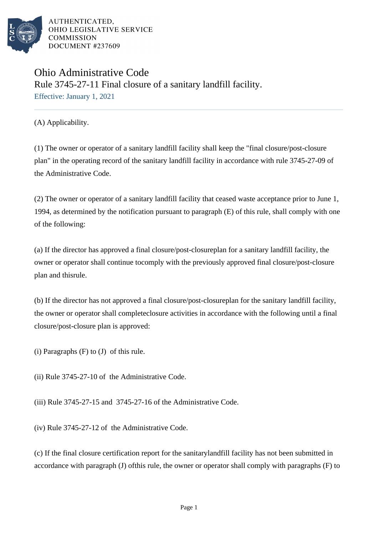

## Ohio Administrative Code Rule 3745-27-11 Final closure of a sanitary landfill facility. Effective: January 1, 2021

(A) Applicability.

(1) The owner or operator of a sanitary landfill facility shall keep the "final closure/post-closure plan" in the operating record of the sanitary landfill facility in accordance with rule 3745-27-09 of the Administrative Code.

(2) The owner or operator of a sanitary landfill facility that ceased waste acceptance prior to June 1, 1994, as determined by the notification pursuant to paragraph  $(E)$  of this rule, shall comply with one of the following:

(a) If the director has approved a final closure/post-closure plan for a sanitary landfill facility, the owner or operator shall continue to comply with the previously approved final closure/post-closure plan and this rule.

(b) If the director has not approved a final closure/post-closure plan for the sanitary landfill facility, the owner or operator shall complete closure activities in accordance with the following until a final closure/post-closure plan is approved:

(i) Paragraphs  $(F)$  to  $(J)$  of this rule.

(ii) Rule  $3745-27-10$  of the Administrative Code.

(iii) Rule  $3745-27-15$  and  $3745-27-16$  of the Administrative Code.

(iv) Rule  $3745-27-12$  of the Administrative Code.

(c) If the final closure certification report for the sanitary landfill facility has not been submitted in accordance with paragraph  $(J)$  of this rule, the owner or operator shall comply with paragraphs  $(F)$  to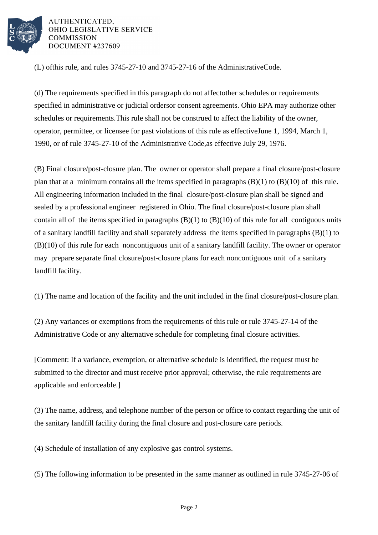

(L) of this rule, and rules  $3745-27-10$  and  $3745-27-16$  of the Administrative Code.

(d) The requirements specified in this paragraph do not affect other schedules or requirements specified in administrative or judicial orders or consent agreements. Ohio EPA may authorize other schedules or requirements. This rule shall not be construed to affect the liability of the owner, operator, permittee, or licensee for past violations of this rule as effective June 1, 1994, March 1, 1990, or of rule 3745-27-10 of the Administrative Code, as effective July 29, 1976.

(B) Final closure/post-closure plan. The owner or operator shall prepare a final closure/post-closure plan that at a minimum contains all the items specified in paragraphs  $(B)(1)$  to  $(B)(10)$  of this rule. All engineering information included in the final closure/post-closure plan shall be signed and sealed by a professional engineer registered in Ohio. The final closure/post-closure plan shall contain all of the items specified in paragraphs  $(B)(1)$  to  $(B)(10)$  of this rule for all contiguous units of a sanitary landfill facility and shall separately address the items specified in paragraphs (B)(1) to (B)(10) of this rule for each noncontiguous unit of a sanitary landfill facility. The owner or operator may prepare separate final closure/post-closure plans for each noncontiguous unit of a sanitary landfill facility.

(1) The name and location of the facility and the unit included in the final closure/post-closure plan. 

(2) Any variances or exemptions from the requirements of this rule or rule 3745-27-14 of the Administrative Code or any alternative schedule for completing final closure activities.

[Comment: If a variance, exemption, or alternative schedule is identified, the request must be submitted to the director and must receive prior approval; otherwise, the rule requirements are applicable and enforceable.]

(3) The name, address, and telephone number of the person or office to contact regarding the unit of the sanitary landfill facility during the final closure and post-closure care periods.

(4) Schedule of installation of any explosive gas control systems.

 $(5)$  The following information to be presented in the same manner as outlined in rule 3745-27-06 of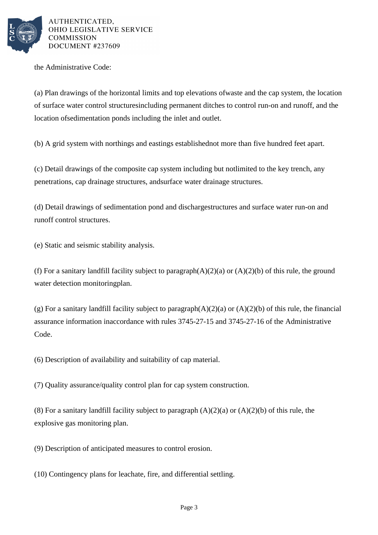

the Administrative Code:

(a) Plan drawings of the horizontal limits and top elevations of waste and the cap system, the location of surface water control structures including permanent ditches to control run-on and runoff, and the location of sedimentation ponds including the inlet and outlet.

(b) A grid system with northings and eastings established not more than five hundred feet apart.

(c) Detail drawings of the composite cap system including but not limited to the key trench, any penetrations, cap drainage structures, and surface water drainage structures.

(d) Detail drawings of sedimentation pond and discharge structures and surface water run-on and runoff control structures.

(e) Static and seismic stability analysis.

(f) For a sanitary landfill facility subject to paragraph  $(A)(2)(a)$  or  $(A)(2)(b)$  of this rule, the ground water detection monitoring plan.

(g) For a sanitary landfill facility subject to paragraph  $(A)(2)(a)$  or  $(A)(2)(b)$  of this rule, the financial assurance information in accordance with rules 3745-27-15 and 3745-27-16 of the Administrative Code.

(6) Description of availability and suitability of cap material.

(7) Quality assurance/quality control plan for cap system construction.

(8) For a sanitary landfill facility subject to paragraph  $(A)(2)(a)$  or  $(A)(2)(b)$  of this rule, the explosive gas monitoring plan.

(9) Description of anticipated measures to control erosion.

 $(10)$  Contingency plans for leachate, fire, and differential settling.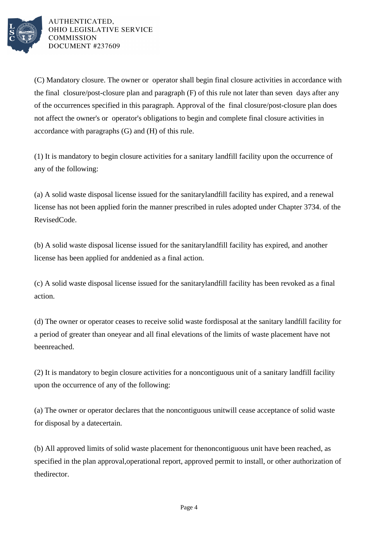

(C) Mandatory closure. The owner or operator shall begin final closure activities in accordance with the final closure/post-closure plan and paragraph (F) of this rule not later than seven days after any of the occurrences specified in this paragraph. Approval of the final closure/post-closure plan does not affect the owner's or operator's obligations to begin and complete final closure activities in accordance with paragraphs (G) and (H) of this rule.

(1) It is mandatory to begin closure activities for a sanitary landfill facility upon the occurrence of any of the following:

(a) A solid waste disposal license issued for the sanitary landfill facility has expired, and a renewal license has not been applied for in the manner prescribed in rules adopted under Chapter 3734. of the Revised Code.

(b) A solid waste disposal license issued for the sanitary landfill facility has expired, and another license has been applied for and denied as a final action.

(c) A solid waste disposal license issued for the sanitary landfill facility has been revoked as a final action.

(d) The owner or operator ceases to receive solid waste for disposal at the sanitary landfill facility for a period of greater than one year and all final elevations of the limits of waste placement have not been reached.

(2) It is mandatory to begin closure activities for a noncontiguous unit of a sanitary landfill facility upon the occurrence of any of the following:

(a) The owner or operator declares that the noncontiguous unit will cease acceptance of solid waste for disposal by a date certain.

(b) All approved limits of solid waste placement for the noncontiguous unit have been reached, as specified in the plan approval, operational report, approved permit to install, or other authorization of the director.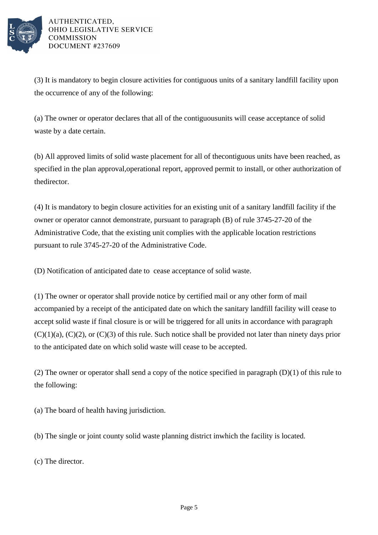

(3) It is mandatory to begin closure activities for contiguous units of a sanitary landfill facility upon the occurrence of any of the following:

(a) The owner or operator declares that all of the contiguous units will cease acceptance of solid waste by a date certain.

(b) All approved limits of solid waste placement for all of the contiguous units have been reached, as specified in the plan approval, operational report, approved permit to install, or other authorization of the director.

(4) It is mandatory to begin closure activities for an existing unit of a sanitary landfill facility if the owner or operator cannot demonstrate, pursuant to paragraph  $(B)$  of rule  $3745-27-20$  of the Administrative Code, that the existing unit complies with the applicable location restrictions pursuant to rule 3745-27-20 of the Administrative Code.

(D) Notification of anticipated date to cease acceptance of solid waste.

(1) The owner or operator shall provide notice by certified mail or any other form of mail accompanied by a receipt of the anticipated date on which the sanitary landfill facility will cease to accept solid waste if final closure is or will be triggered for all units in accordance with paragraph  $(C)(1)(a)$ ,  $(C)(2)$ , or  $(C)(3)$  of this rule. Such notice shall be provided not later than ninety days prior to the anticipated date on which solid waste will cease to be accepted.

(2) The owner or operator shall send a copy of the notice specified in paragraph  $(D)(1)$  of this rule to the following:

(a) The board of health having jurisdiction.

(b) The single or joint county solid waste planning district in which the facility is located.

(c) The director.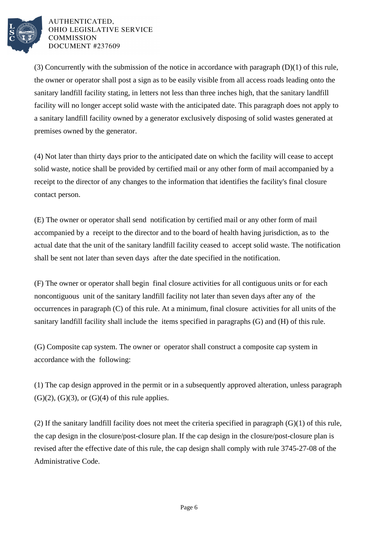

(3) Concurrently with the submission of the notice in accordance with paragraph  $(D)(1)$  of this rule, the owner or operator shall post a sign as to be easily visible from all access roads leading onto the sanitary landfill facility stating, in letters not less than three inches high, that the sanitary landfill facility will no longer accept solid waste with the anticipated date. This paragraph does not apply to a sanitary landfill facility owned by a generator exclusively disposing of solid wastes generated at premises owned by the generator.

(4) Not later than thirty days prior to the anticipated date on which the facility will cease to accept solid waste, notice shall be provided by certified mail or any other form of mail accompanied by a receipt to the director of any changes to the information that identifies the facility's final closure contact person.

(E) The owner or operator shall send notification by certified mail or any other form of mail accompanied by a receipt to the director and to the board of health having jurisdiction, as to the actual date that the unit of the sanitary landfill facility ceased to accept solid waste. The notification shall be sent not later than seven days after the date specified in the notification.

(F) The owner or operator shall begin final closure activities for all contiguous units or for each noncontiguous unit of the sanitary landfill facility not later than seven days after any of the occurrences in paragraph (C) of this rule. At a minimum, final closure activities for all units of the sanitary landfill facility shall include the items specified in paragraphs (G) and (H) of this rule.

(G) Composite cap system. The owner or operator shall construct a composite cap system in accordance with the following:

(1) The cap design approved in the permit or in a subsequently approved alteration, unless paragraph  $(G)(2)$ ,  $(G)(3)$ , or  $(G)(4)$  of this rule applies.

(2) If the sanitary landfill facility does not meet the criteria specified in paragraph  $(G)(1)$  of this rule, the cap design in the closure/post-closure plan. If the cap design in the closure/post-closure plan is revised after the effective date of this rule, the cap design shall comply with rule 3745-27-08 of the Administrative Code.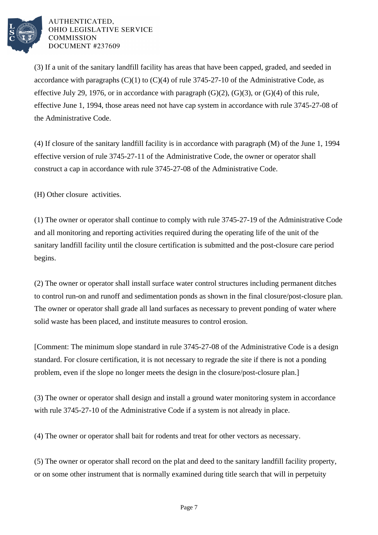

(3) If a unit of the sanitary landfill facility has areas that have been capped, graded, and seeded in accordance with paragraphs  $(C)(1)$  to  $(C)(4)$  of rule 3745-27-10 of the Administrative Code, as effective July 29, 1976, or in accordance with paragraph  $(G)(2)$ ,  $(G)(3)$ , or  $(G)(4)$  of this rule, effective June 1, 1994, those areas need not have cap system in accordance with rule 3745-27-08 of the Administrative Code.

(4) If closure of the sanitary landfill facility is in accordance with paragraph  $(M)$  of the June 1, 1994 effective version of rule 3745-27-11 of the Administrative Code, the owner or operator shall construct a cap in accordance with rule 3745-27-08 of the Administrative Code.

(H) Other closure activities.

(1) The owner or operator shall continue to comply with rule 3745-27-19 of the Administrative Code and all monitoring and reporting activities required during the operating life of the unit of the sanitary landfill facility until the closure certification is submitted and the post-closure care period begins.

(2) The owner or operator shall install surface water control structures including permanent ditches to control run-on and runoff and sedimentation ponds as shown in the final closure/post-closure plan. The owner or operator shall grade all land surfaces as necessary to prevent ponding of water where solid waste has been placed, and institute measures to control erosion.

[Comment: The minimum slope standard in rule 3745-27-08 of the Administrative Code is a design standard. For closure certification, it is not necessary to regrade the site if there is not a ponding problem, even if the slope no longer meets the design in the closure/post-closure plan.]

(3) The owner or operator shall design and install a ground water monitoring system in accordance with rule 3745-27-10 of the Administrative Code if a system is not already in place.

(4) The owner or operator shall bait for rodents and treat for other vectors as necessary.

(5) The owner or operator shall record on the plat and deed to the sanitary landfill facility property, or on some other instrument that is normally examined during title search that will in perpetuity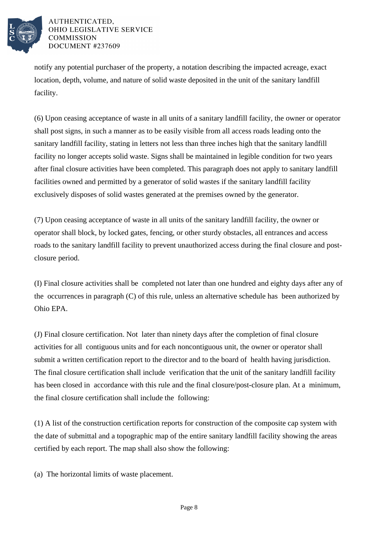

notify any potential purchaser of the property, a notation describing the impacted acreage, exact location, depth, volume, and nature of solid waste deposited in the unit of the sanitary landfill facility.

(6) Upon ceasing acceptance of waste in all units of a sanitary landfill facility, the owner or operator shall post signs, in such a manner as to be easily visible from all access roads leading onto the sanitary landfill facility, stating in letters not less than three inches high that the sanitary landfill facility no longer accepts solid waste. Signs shall be maintained in legible condition for two years after final closure activities have been completed. This paragraph does not apply to sanitary landfill facilities owned and permitted by a generator of solid wastes if the sanitary landfill facility exclusively disposes of solid wastes generated at the premises owned by the generator.

(7) Upon ceasing acceptance of waste in all units of the sanitary landfill facility, the owner or operator shall block, by locked gates, fencing, or other sturdy obstacles, all entrances and access roads to the sanitary landfill facility to prevent unauthorized access during the final closure and postclosure period.

(I) Final closure activities shall be completed not later than one hundred and eighty days after any of the occurrences in paragraph (C) of this rule, unless an alternative schedule has been authorized by Ohio EPA.

(J) Final closure certification. Not later than ninety days after the completion of final closure activities for all contiguous units and for each noncontiguous unit, the owner or operator shall submit a written certification report to the director and to the board of health having jurisdiction. The final closure certification shall include verification that the unit of the sanitary landfill facility has been closed in accordance with this rule and the final closure/post-closure plan. At a minimum, the final closure certification shall include the following:

 $(1)$  A list of the construction certification reports for construction of the composite cap system with the date of submittal and a topographic map of the entire sanitary landfill facility showing the areas certified by each report. The map shall also show the following:

(a) The horizontal limits of waste placement.